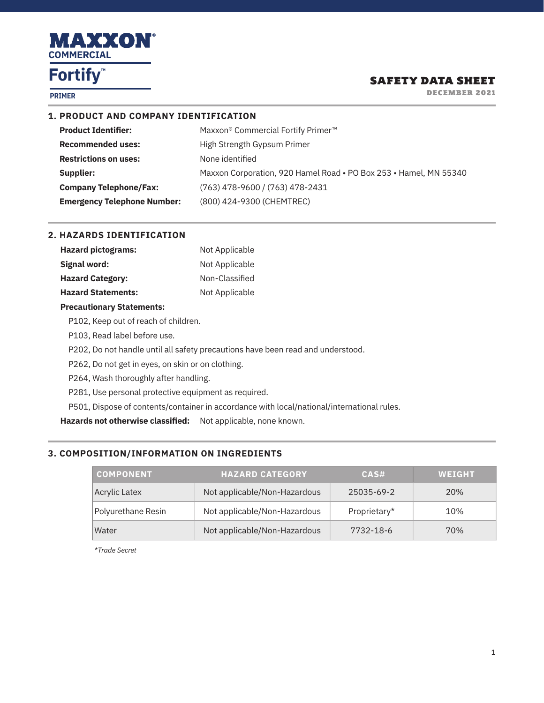

**PRIMER**

### SAFETY DATA SHEET

DECEMBER 2021

### **1. PRODUCT AND COMPANY IDENTIFICATION**

| <b>Product Identifier:</b>         | Maxxon® Commercial Fortify Primer <sup>™</sup>                    |
|------------------------------------|-------------------------------------------------------------------|
| <b>Recommended uses:</b>           | High Strength Gypsum Primer                                       |
| <b>Restrictions on uses:</b>       | None identified                                                   |
| Supplier:                          | Maxxon Corporation, 920 Hamel Road • PO Box 253 • Hamel, MN 55340 |
| <b>Company Telephone/Fax:</b>      | (763) 478-9600 / (763) 478-2431                                   |
| <b>Emergency Telephone Number:</b> | (800) 424-9300 (CHEMTREC)                                         |

#### **2. HAZARDS IDENTIFICATION**

| <b>Hazard pictograms:</b> | Not Applicable |
|---------------------------|----------------|
| Signal word:              | Not Applicable |
| <b>Hazard Category:</b>   | Non-Classified |
| <b>Hazard Statements:</b> | Not Applicable |

#### **Precautionary Statements:**

P102, Keep out of reach of children.

P103, Read label before use.

P202, Do not handle until all safety precautions have been read and understood.

P262, Do not get in eyes, on skin or on clothing.

P264, Wash thoroughly after handling.

P281, Use personal protective equipment as required.

P501, Dispose of contents/container in accordance with local/national/international rules.

**Hazards not otherwise classified:** Not applicable, none known.

### **3. COMPOSITION/INFORMATION ON INGREDIENTS**

| <b>COMPONENT</b>     | <b>HAZARD CATEGORY</b>       | CAS#         | <b>WEIGHT</b> |
|----------------------|------------------------------|--------------|---------------|
| <b>Acrylic Latex</b> | Not applicable/Non-Hazardous | 25035-69-2   | 20%           |
| Polyurethane Resin   | Not applicable/Non-Hazardous | Proprietary* | 10%           |
| Water                | Not applicable/Non-Hazardous | 7732-18-6    | 70%           |

*\*Trade Secret*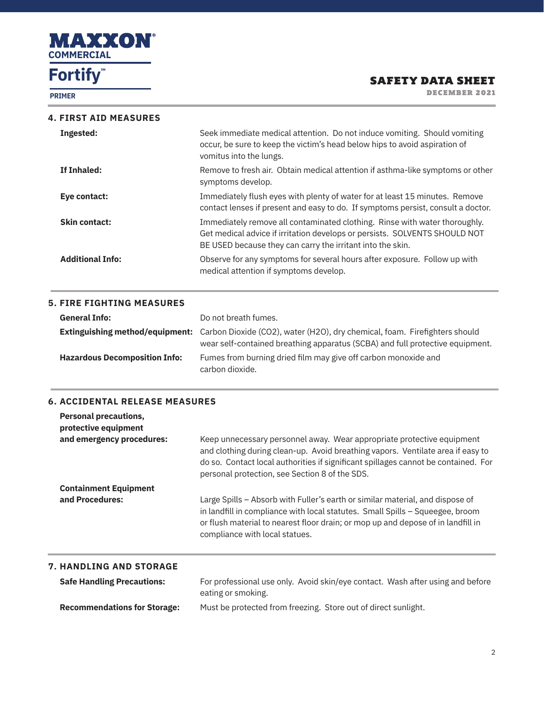

**PRIMER**

## SAFETY DATA SHEET

DECEMBER 2021

|           | <b>4. FIRST AID MEASURES</b> |  |
|-----------|------------------------------|--|
| Indoctod: |                              |  |

| Ingested:               | Seek immediate medical attention. Do not induce vomiting. Should vomiting<br>occur, be sure to keep the victim's head below hips to avoid aspiration of<br>vomitus into the lungs.                                     |
|-------------------------|------------------------------------------------------------------------------------------------------------------------------------------------------------------------------------------------------------------------|
| If Inhaled:             | Remove to fresh air. Obtain medical attention if asthma-like symptoms or other<br>symptoms develop.                                                                                                                    |
| Eye contact:            | Immediately flush eyes with plenty of water for at least 15 minutes. Remove<br>contact lenses if present and easy to do. If symptoms persist, consult a doctor.                                                        |
| <b>Skin contact:</b>    | Immediately remove all contaminated clothing. Rinse with water thoroughly.<br>Get medical advice if irritation develops or persists. SOLVENTS SHOULD NOT<br>BE USED because they can carry the irritant into the skin. |
| <b>Additional Info:</b> | Observe for any symptoms for several hours after exposure. Follow up with<br>medical attention if symptoms develop.                                                                                                    |

### **5. FIRE FIGHTING MEASURES**

| <b>General Info:</b>                 | Do not breath fumes.                                                                                                                                                                        |
|--------------------------------------|---------------------------------------------------------------------------------------------------------------------------------------------------------------------------------------------|
|                                      | Extinguishing method/equipment: Carbon Dioxide (CO2), water (H2O), dry chemical, foam. Firefighters should<br>wear self-contained breathing apparatus (SCBA) and full protective equipment. |
| <b>Hazardous Decomposition Info:</b> | Fumes from burning dried film may give off carbon monoxide and<br>carbon dioxide.                                                                                                           |

## **6. ACCIDENTAL RELEASE MEASURES**

| and emergency procedures:    | Keep unnecessary personnel away. Wear appropriate protective equipment<br>and clothing during clean-up. Avoid breathing vapors. Ventilate area if easy to<br>do so. Contact local authorities if significant spillages cannot be contained. For<br>personal protection, see Section 8 of the SDS. |
|------------------------------|---------------------------------------------------------------------------------------------------------------------------------------------------------------------------------------------------------------------------------------------------------------------------------------------------|
| <b>Containment Equipment</b> |                                                                                                                                                                                                                                                                                                   |
| and Procedures:              | Large Spills – Absorb with Fuller's earth or similar material, and dispose of<br>in landfill in compliance with local statutes. Small Spills - Squeegee, broom<br>or flush material to nearest floor drain; or mop up and depose of in landfill in<br>compliance with local statues.              |

## **Safe Handling Precautions:** For professional use only. Avoid skin/eye contact. Wash after using and before eating or smoking. **Recommendations for Storage:** Must be protected from freezing. Store out of direct sunlight.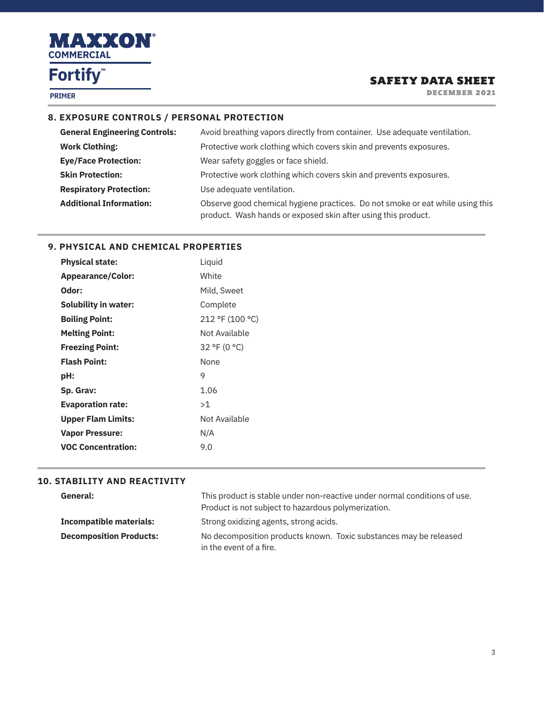

**PRIMER**

## SAFETY DATA SHEET

DECEMBER 2021

### **8. EXPOSURE CONTROLS / PERSONAL PROTECTION**

| <b>General Engineering Controls:</b> | Avoid breathing vapors directly from container. Use adequate ventilation.                                                                      |
|--------------------------------------|------------------------------------------------------------------------------------------------------------------------------------------------|
| <b>Work Clothing:</b>                | Protective work clothing which covers skin and prevents exposures.                                                                             |
| <b>Eye/Face Protection:</b>          | Wear safety goggles or face shield.                                                                                                            |
| <b>Skin Protection:</b>              | Protective work clothing which covers skin and prevents exposures.                                                                             |
| <b>Respiratory Protection:</b>       | Use adequate ventilation.                                                                                                                      |
| <b>Additional Information:</b>       | Observe good chemical hygiene practices. Do not smoke or eat while using this<br>product. Wash hands or exposed skin after using this product. |

#### **9. PHYSICAL AND CHEMICAL PROPERTIES**

| Liquid          |
|-----------------|
| White           |
| Mild, Sweet     |
| Complete        |
| 212 °F (100 °C) |
| Not Available   |
| 32 °F (0 °C)    |
| <b>None</b>     |
| 9               |
| 1.06            |
| >1              |
| Not Available   |
| N/A             |
| 9.0             |
|                 |

#### **10. STABILITY AND REACTIVITY**

| General:                       | This product is stable under non-reactive under normal conditions of use.<br>Product is not subject to hazardous polymerization. |
|--------------------------------|----------------------------------------------------------------------------------------------------------------------------------|
| <b>Incompatible materials:</b> | Strong oxidizing agents, strong acids.                                                                                           |
| <b>Decomposition Products:</b> | No decomposition products known. Toxic substances may be released<br>in the event of a fire.                                     |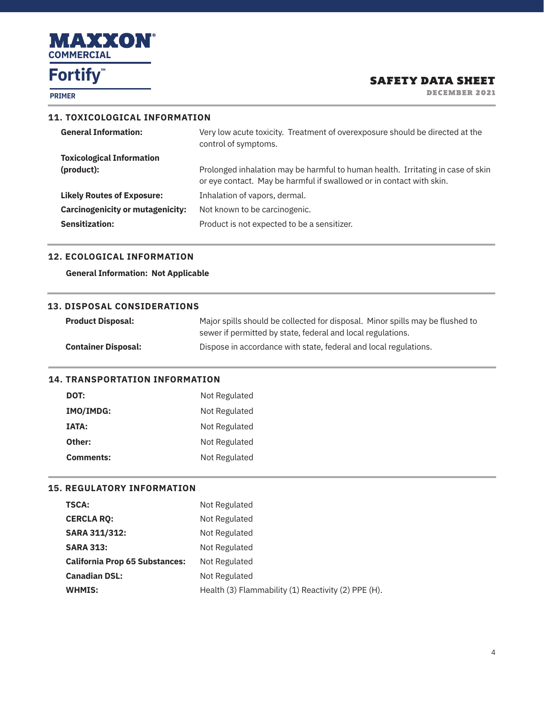

**PRIMER**

## SAFETY DATA SHEET

DECEMBER 2021

#### **11. TOXICOLOGICAL INFORMATION**

| <b>General Information:</b>             | Very low acute toxicity. Treatment of overexposure should be directed at the<br>control of symptoms.                                                    |
|-----------------------------------------|---------------------------------------------------------------------------------------------------------------------------------------------------------|
| <b>Toxicological Information</b>        |                                                                                                                                                         |
| (product):                              | Prolonged inhalation may be harmful to human health. Irritating in case of skin<br>or eye contact. May be harmful if swallowed or in contact with skin. |
| <b>Likely Routes of Exposure:</b>       | Inhalation of vapors, dermal.                                                                                                                           |
| <b>Carcinogenicity or mutagenicity:</b> | Not known to be carcinogenic.                                                                                                                           |
| <b>Sensitization:</b>                   | Product is not expected to be a sensitizer.                                                                                                             |
|                                         |                                                                                                                                                         |

#### **12. ECOLOGICAL INFORMATION**

**General Information: Not Applicable**

#### **13. DISPOSAL CONSIDERATIONS**

| <b>Product Disposal:</b>   | Major spills should be collected for disposal. Minor spills may be flushed to<br>sewer if permitted by state, federal and local regulations. |
|----------------------------|----------------------------------------------------------------------------------------------------------------------------------------------|
| <b>Container Disposal:</b> | Dispose in accordance with state, federal and local regulations.                                                                             |

#### **14. TRANSPORTATION INFORMATION**

| DOT:         | Not Regulated |
|--------------|---------------|
| IMO/IMDG:    | Not Regulated |
| <b>IATA:</b> | Not Regulated |
| Other:       | Not Regulated |
| Comments:    | Not Regulated |

## **15. REGULATORY INFORMATION**

| <b>TSCA:</b>                          | Not Regulated                                       |
|---------------------------------------|-----------------------------------------------------|
| <b>CERCLA RQ:</b>                     | Not Regulated                                       |
| <b>SARA 311/312:</b>                  | Not Regulated                                       |
| <b>SARA 313:</b>                      | Not Regulated                                       |
| <b>California Prop 65 Substances:</b> | Not Regulated                                       |
| <b>Canadian DSL:</b>                  | Not Regulated                                       |
| <b>WHMIS:</b>                         | Health (3) Flammability (1) Reactivity (2) PPE (H). |